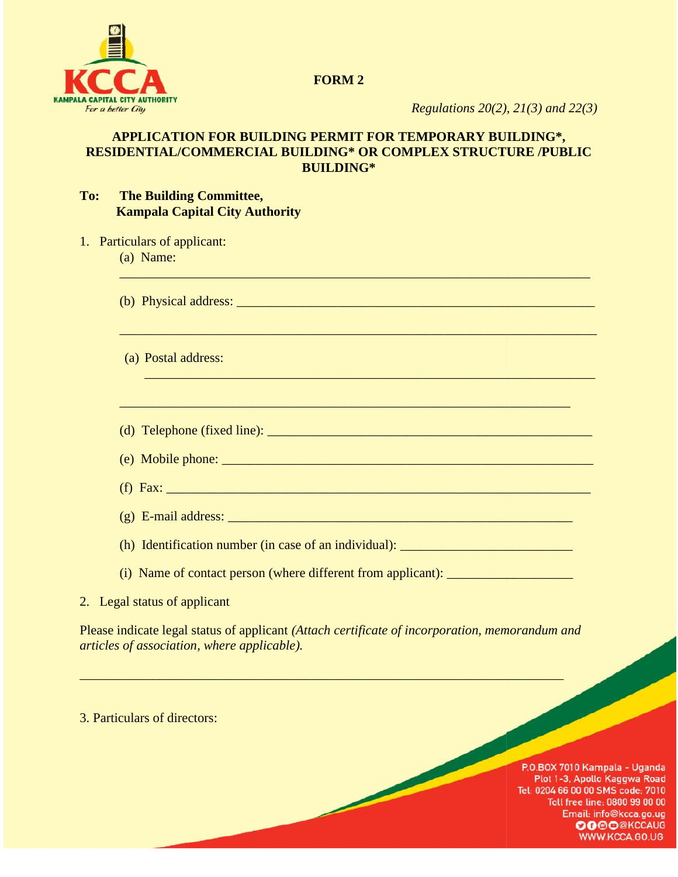

**FORM 2**

*Regulations 20(2), 21(3) and 22(3)*

## **APPLICATION FOR BUILDING PERMIT FOR TEMPORARY BUILDING\*,** APPLICATION FOR BUILDING PERMIT FOR TEMPORARY BUILDING\*,<br>RESIDENTIAL/COMMERCIAL BUILDING\* OR COMPLEX STRUCTURE /PUBLIC **BUILDING\***

 $\Box$  , and the set of the set of the set of the set of the set of the set of the set of the set of the set of the set of the set of the set of the set of the set of the set of the set of the set of the set of the set of t

\_\_\_\_\_\_\_\_\_\_\_\_\_\_\_\_\_\_\_\_\_\_\_\_\_\_\_\_\_\_\_\_\_\_\_\_\_\_\_\_\_\_\_\_\_\_\_\_\_\_\_\_\_\_\_\_\_\_\_\_\_\_\_\_\_\_\_\_\_\_\_\_

 $\mathcal{L}_\mathcal{L}$  , and the contribution of the contribution of the contribution of the contribution of the contribution of the contribution of the contribution of the contribution of the contribution of the contribution of

 $\mathcal{L}_\mathcal{L} = \mathcal{L}_\mathcal{L} = \mathcal{L}_\mathcal{L} = \mathcal{L}_\mathcal{L} = \mathcal{L}_\mathcal{L} = \mathcal{L}_\mathcal{L} = \mathcal{L}_\mathcal{L} = \mathcal{L}_\mathcal{L} = \mathcal{L}_\mathcal{L} = \mathcal{L}_\mathcal{L} = \mathcal{L}_\mathcal{L} = \mathcal{L}_\mathcal{L} = \mathcal{L}_\mathcal{L} = \mathcal{L}_\mathcal{L} = \mathcal{L}_\mathcal{L} = \mathcal{L}_\mathcal{L} = \mathcal{L}_\mathcal{L}$ 

## **To: The Building Committee, Kampala Capital City Authority**

| 1. Particulars of applicant: |  |
|------------------------------|--|
|                              |  |

(a) Name:

(b) Physical address: \_\_\_\_\_\_\_\_\_\_\_\_\_\_\_\_\_\_\_\_\_\_\_\_\_\_\_\_\_\_\_\_\_\_\_\_\_\_\_\_\_\_\_\_\_\_\_\_\_\_\_\_\_\_

(a) Postal address:

(d) Telephone (fixed line): \_\_\_\_\_\_\_\_\_\_\_\_\_\_\_\_\_\_\_\_\_\_\_\_\_\_\_\_\_\_\_\_\_\_\_\_\_\_\_\_\_\_\_\_\_\_\_\_\_

 $(e)$  Mobile phone:  $\Box$ applicant:line):phone:(in case contact person applicant):applicant

(f) Fax:  $\frac{1}{2}$  Fax:  $\frac{1}{2}$  Fax:  $\frac{1}{2}$  Fax:  $\frac{1}{2}$  Fax:  $\frac{1}{2}$  Fax:  $\frac{1}{2}$  Fax:  $\frac{1}{2}$  Fax:  $\frac{1}{2}$  Fax:  $\frac{1}{2}$  Fax:  $\frac{1}{2}$  Fax:  $\frac{1}{2}$  Fax:  $\frac{1}{2}$  Fax:  $\frac{1}{2}$  Fax:  $\frac{1}{2}$  Fax:  $\$ 

(g) E-mail address:  $\Box$ 

(h) Identification number (in case of an individual): \_\_\_\_\_\_\_\_\_\_\_\_\_\_\_\_\_\_\_\_\_\_\_\_\_\_\_

(i) Name of contact person (where different from applicant): \_\_\_\_\_\_\_\_\_\_\_\_\_\_\_\_\_\_\_\_

Please indicate legal status of applicant *(Attach certificate of incorporation, memorandum and articles of association, where applicable).*

 $\mathcal{L}_\text{max}$  and  $\mathcal{L}_\text{max}$  and  $\mathcal{L}_\text{max}$  and  $\mathcal{L}_\text{max}$  and  $\mathcal{L}_\text{max}$ 

1 of 5

3. Particulars of directors:

P.O.BOX 7010 Kampala - Uganda Plot 1-3, Apollo Kaggwa Road Tel: 0204 66 00 00 SMS code: 7010 Toll free line: 0800 99 00 00 Email: info@kcca.go.ug **OGOO@KCCAUG** WWW.KCCA.GO.UG

<sup>2.</sup> Legal status of applicant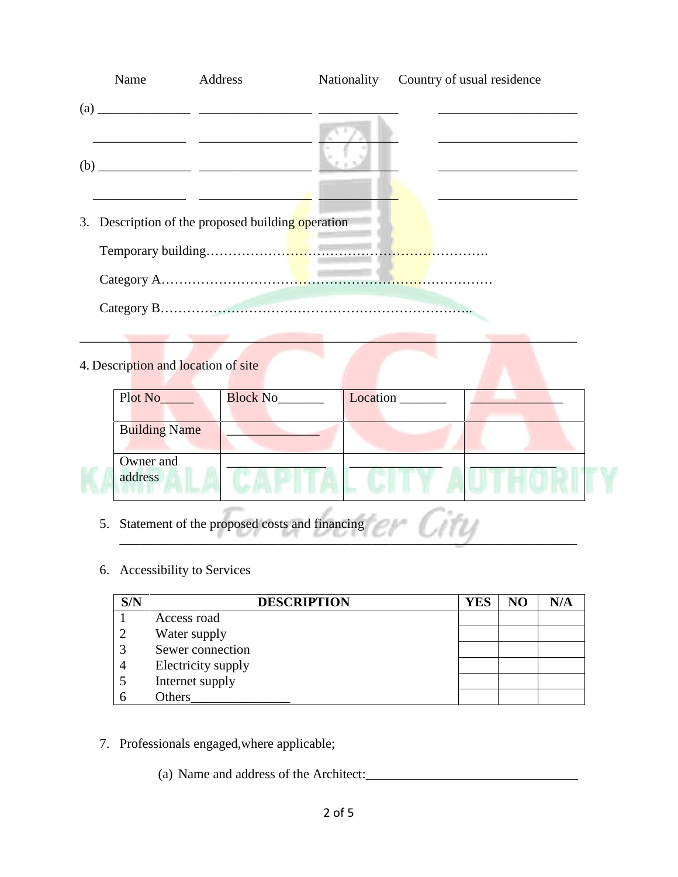| Name                                | Address                                           | Nationality | Country of usual residence |
|-------------------------------------|---------------------------------------------------|-------------|----------------------------|
|                                     |                                                   |             |                            |
|                                     |                                                   |             |                            |
|                                     | 3. Description of the proposed building operation |             |                            |
|                                     |                                                   |             |                            |
|                                     |                                                   |             |                            |
|                                     |                                                   |             |                            |
| 4. Description and location of site | the control of the control of the control of      |             |                            |
| Plot No <sub>nth</sub>              | Block No                                          |             | Location ______            |
| <b>Building Name</b>                |                                                   |             |                            |
| Owner and<br>address                |                                                   |             |                            |
|                                     |                                                   |             | Control                    |

- 5. Statement of the proposed costs and financing
- 6. Accessibility to Services

| S/N | <b>DESCRIPTION</b> | <b>YES</b> | NO | N/A |
|-----|--------------------|------------|----|-----|
|     | Access road        |            |    |     |
|     | Water supply       |            |    |     |
|     | Sewer connection   |            |    |     |
|     | Electricity supply |            |    |     |
|     | Internet supply    |            |    |     |
|     | Others             |            |    |     |

 $\frac{1}{1}$  of  $\frac{1}{1}$  of  $\frac{1}{1}$  or  $\frac{1}{1}$  or  $\frac{1}{1}$  or  $\frac{1}{1}$ 

7. Professionals engaged,where applicable;

(a) Name and address of the Architect:\_\_\_\_\_\_\_\_\_\_\_\_\_\_\_\_\_\_\_\_\_\_\_\_\_\_\_\_\_\_\_\_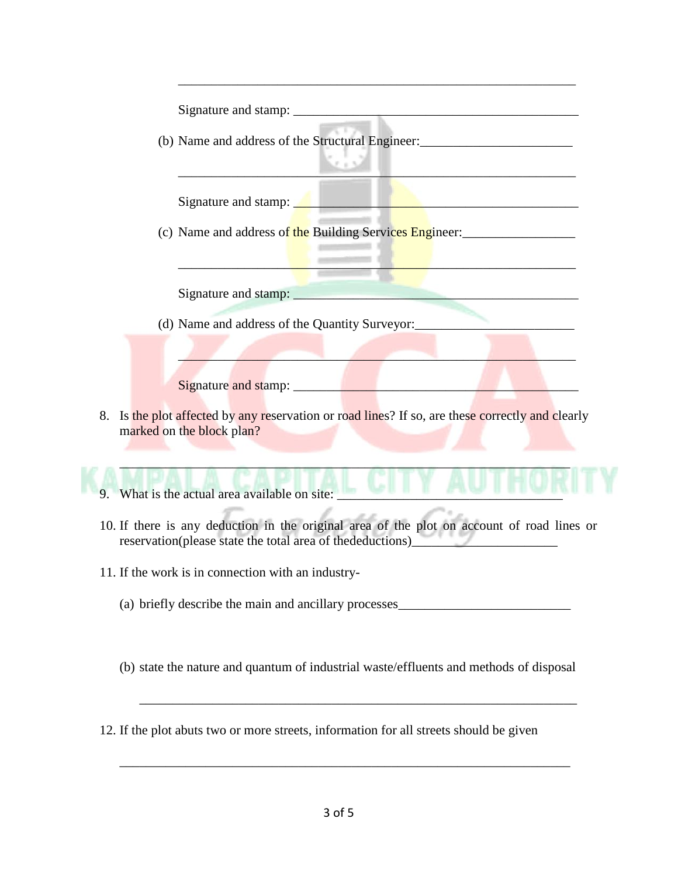| Kristil                                                                                                                                                                      |
|------------------------------------------------------------------------------------------------------------------------------------------------------------------------------|
| <u> 1986 - John Stone, Amerikaansk konstantiner (</u><br>Signature and stamp:                                                                                                |
| (c) Name and address of the Building Services Engineer:                                                                                                                      |
|                                                                                                                                                                              |
|                                                                                                                                                                              |
|                                                                                                                                                                              |
|                                                                                                                                                                              |
| 8. Is the plot affected by any reservation or road lines? If so, are these correctly and clearly<br>marked on the block plan?                                                |
| 9. What is the actual area available on site:                                                                                                                                |
| 10. If there is any deduction in the original area of the plot on account of road lines or<br>reservation(please state the total area of thedeductions)<br><u>experience</u> |
|                                                                                                                                                                              |
| 11. If the work is in connection with an industry-                                                                                                                           |

(b) state the nature and quantum of industrial waste/effluents and methods of disposal

\_\_\_\_\_\_\_\_\_\_\_\_\_\_\_\_\_\_\_\_\_\_\_\_\_\_\_\_\_\_\_\_\_\_\_\_\_\_\_\_\_\_\_\_\_\_\_\_\_\_\_\_\_\_\_\_\_\_\_\_\_\_\_\_\_\_

12. If the plot abuts two or more streets, information for all streets should be given

\_\_\_\_\_\_\_\_\_\_\_\_\_\_\_\_\_\_\_\_\_\_\_\_\_\_\_\_\_\_\_\_\_\_\_\_\_\_\_\_\_\_\_\_\_\_\_\_\_\_\_\_\_\_\_\_\_\_\_\_\_\_\_\_\_\_\_\_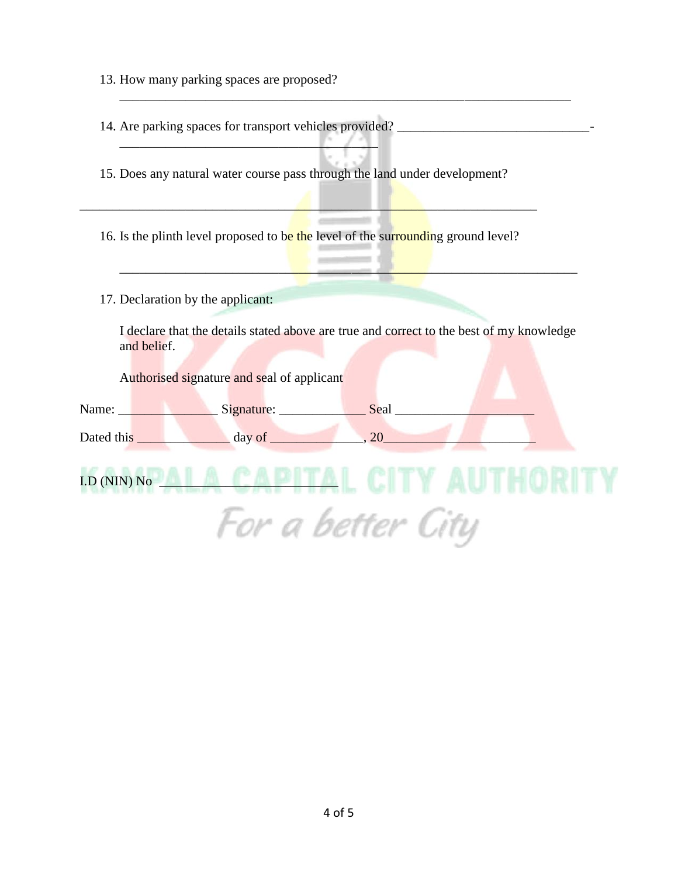- 13. How many parking spaces are proposed?
- 14. Are parking spaces for transport vehicles provided? \_\_\_\_\_\_\_\_\_\_\_\_\_\_\_\_\_\_\_\_\_\_\_\_\_\_\_\_\_-

\_\_\_\_\_\_\_\_\_\_\_\_\_\_\_\_\_\_\_\_\_\_\_\_\_\_\_\_\_\_\_\_\_\_\_\_\_\_\_

15. Does any natural water course pass through the land under development?

16. Is the plinth level proposed to be the level of the surrounding ground level?

\_\_\_\_\_\_\_\_\_\_\_\_\_\_\_\_\_\_\_\_\_\_\_\_\_\_\_\_\_\_\_\_\_\_\_\_\_\_\_\_\_\_\_\_\_\_\_\_\_\_\_\_\_\_\_\_\_\_\_\_\_\_\_\_\_\_\_\_\_

17. Declaration by the applicant:

I declare that the details stated above are true and correct to the best of my knowledge and belief.

\_\_\_\_\_\_\_\_\_\_\_\_\_\_\_\_\_\_\_\_\_\_\_\_\_\_\_\_\_\_\_\_\_\_\_\_\_\_\_\_\_\_\_\_\_\_\_\_\_\_\_\_\_\_\_\_\_\_\_\_\_\_\_\_\_\_\_\_

\_\_\_\_\_\_\_\_\_\_\_\_\_\_\_\_\_\_\_\_\_\_\_\_\_\_\_\_\_\_\_\_\_\_\_\_\_\_\_\_\_\_\_\_\_\_\_\_\_\_\_\_\_\_\_\_\_\_\_\_\_\_\_\_\_\_\_\_\_

Authorised signature and seal of applicant

| Name:      | Signature: | Seal |  |
|------------|------------|------|--|
| Dated this | day of     |      |  |

 $LD$  (NIN)  $No$ For a better City